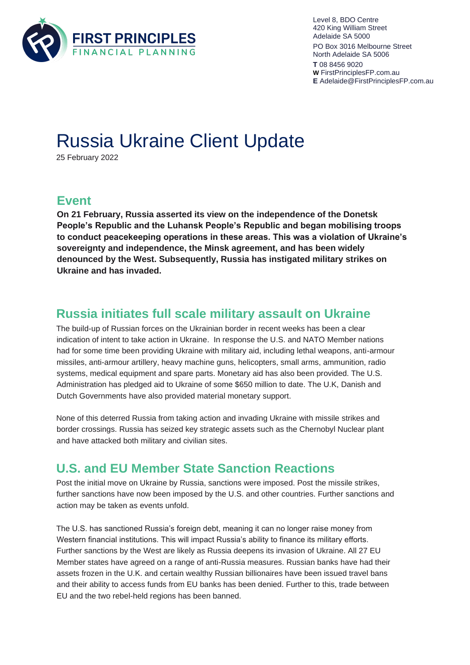

Level 8, BDO Centre 420 King William Street Adelaide SA 5000 PO Box 3016 Melbourne Street North Adelaide SA 5006 **T** 08 8456 9020 **W** [FirstPrinciplesFP.com.au](https://firstprinciplesfp.com.au/) **E** Adelaide@FirstPrinciplesFP.com.au

# Russia Ukraine Client Update

25 February 2022

### **Event**

**On 21 February, Russia asserted its view on the independence of the Donetsk People's Republic and the Luhansk People's Republic and began mobilising troops to conduct peacekeeping operations in these areas. This was a violation of Ukraine's sovereignty and independence, the Minsk agreement, and has been widely denounced by the West. Subsequently, Russia has instigated military strikes on Ukraine and has invaded.** 

#### **Russia initiates full scale military assault on Ukraine**

The build-up of Russian forces on the Ukrainian border in recent weeks has been a clear indication of intent to take action in Ukraine. In response the U.S. and NATO Member nations had for some time been providing Ukraine with military aid, including lethal weapons, anti-armour missiles, anti-armour artillery, heavy machine guns, helicopters, small arms, ammunition, radio systems, medical equipment and spare parts. Monetary aid has also been provided. The U.S. Administration has pledged aid to Ukraine of some \$650 million to date. The U.K, Danish and Dutch Governments have also provided material monetary support.

None of this deterred Russia from taking action and invading Ukraine with missile strikes and border crossings. Russia has seized key strategic assets such as the Chernobyl Nuclear plant and have attacked both military and civilian sites.

# **U.S. and EU Member State Sanction Reactions**

Post the initial move on Ukraine by Russia, sanctions were imposed. Post the missile strikes, further sanctions have now been imposed by the U.S. and other countries. Further sanctions and action may be taken as events unfold.

The U.S. has sanctioned Russia's foreign debt, meaning it can no longer raise money from Western financial institutions. This will impact Russia's ability to finance its military efforts. Further sanctions by the West are likely as Russia deepens its invasion of Ukraine. All 27 EU Member states have agreed on a range of anti-Russia measures. Russian banks have had their assets frozen in the U.K. and certain wealthy Russian billionaires have been issued travel bans and their ability to access funds from EU banks has been denied. Further to this, trade between EU and the two rebel-held regions has been banned.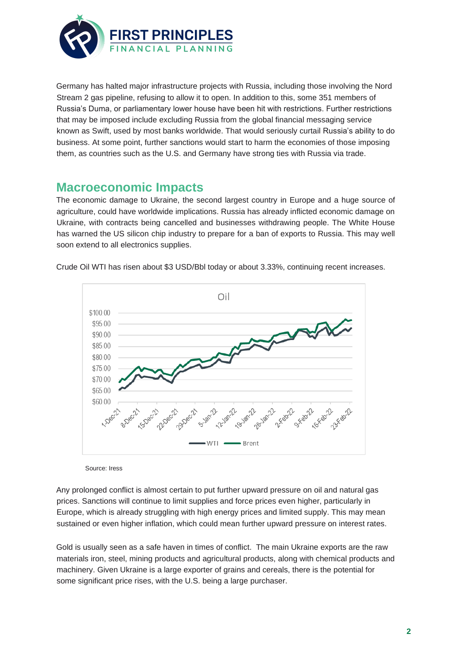

Germany has halted major infrastructure projects with Russia, including those involving the Nord Stream 2 gas pipeline, refusing to allow it to open. In addition to this, some 351 members of Russia's Duma, or parliamentary lower house have been hit with restrictions. Further restrictions that may be imposed include excluding Russia from the global financial messaging service known as Swift, used by most banks worldwide. That would seriously curtail Russia's ability to do business. At some point, further sanctions would start to harm the economies of those imposing them, as countries such as the U.S. and Germany have strong ties with Russia via trade.

#### **Macroeconomic Impacts**

The economic damage to Ukraine, the second largest country in Europe and a huge source of agriculture, could have worldwide implications. Russia has already inflicted economic damage on Ukraine, with contracts being cancelled and businesses withdrawing people. The White House has warned the US silicon chip industry to prepare for a ban of exports to Russia. This may well soon extend to all electronics supplies.



Crude Oil WTI has risen about \$3 USD/Bbl today or about 3.33%, continuing recent increases.

Source: Iress

Any prolonged conflict is almost certain to put further upward pressure on oil and natural gas prices. Sanctions will continue to limit supplies and force prices even higher, particularly in Europe, which is already struggling with high energy prices and limited supply. This may mean sustained or even higher inflation, which could mean further upward pressure on interest rates.

Gold is usually seen as a safe haven in times of conflict. The main Ukraine exports are the raw materials iron, steel, mining products and agricultural products, along with chemical products and machinery. Given Ukraine is a large exporter of grains and cereals, there is the potential for some significant price rises, with the U.S. being a large purchaser.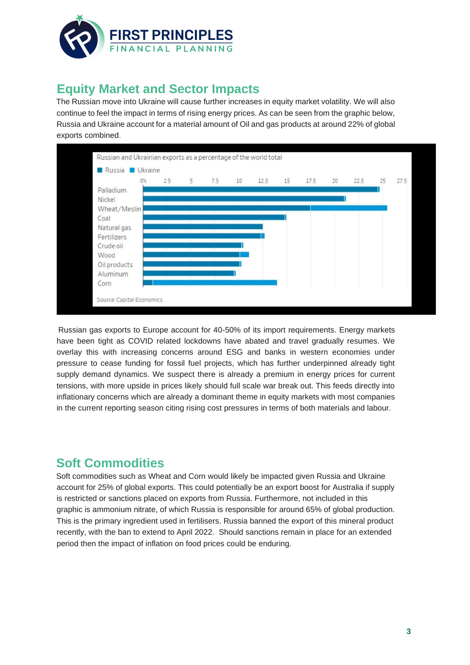

# **Equity Market and Sector Impacts**

The Russian move into Ukraine will cause further increases in equity market volatility. We will also continue to feel the impact in terms of rising energy prices. As can be seen from the graphic below, Russia and Ukraine account for a material amount of Oil and gas products at around 22% of global exports combined.



Russian gas exports to Europe account for 40-50% of its import requirements. Energy markets have been tight as COVID related lockdowns have abated and travel gradually resumes. We overlay this with increasing concerns around ESG and banks in western economies under pressure to cease funding for fossil fuel projects, which has further underpinned already tight supply demand dynamics. We suspect there is already a premium in energy prices for current tensions, with more upside in prices likely should full scale war break out. This feeds directly into inflationary concerns which are already a dominant theme in equity markets with most companies in the current reporting season citing rising cost pressures in terms of both materials and labour.

#### **Soft Commodities**

Soft commodities such as Wheat and Corn would likely be impacted given Russia and Ukraine account for 25% of global exports. This could potentially be an export boost for Australia if supply is restricted or sanctions placed on exports from Russia. Furthermore, not included in this graphic is ammonium nitrate, of which Russia is responsible for around 65% of global production. This is the primary ingredient used in fertilisers. Russia banned the export of this mineral product recently, with the ban to extend to April 2022. Should sanctions remain in place for an extended period then the impact of inflation on food prices could be enduring.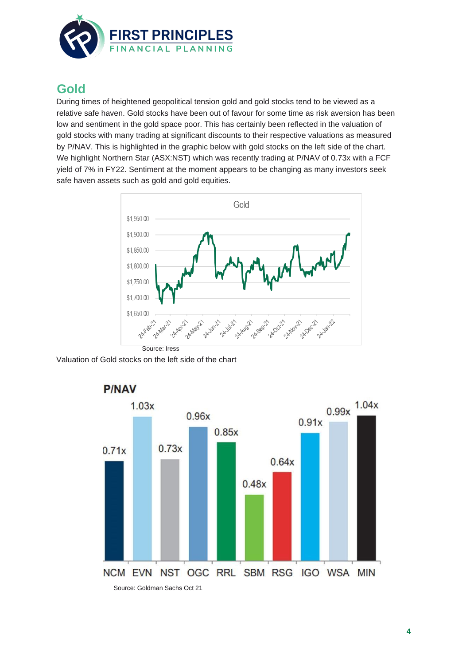

### **Gold**

During times of heightened geopolitical tension gold and gold stocks tend to be viewed as a relative safe haven. Gold stocks have been out of favour for some time as risk aversion has been low and sentiment in the gold space poor. This has certainly been reflected in the valuation of gold stocks with many trading at significant discounts to their respective valuations as measured by P/NAV. This is highlighted in the graphic below with gold stocks on the left side of the chart. We highlight Northern Star (ASX:NST) which was recently trading at P/NAV of 0.73x with a FCF yield of 7% in FY22. Sentiment at the moment appears to be changing as many investors seek safe haven assets such as gold and gold equities.



Valuation of Gold stocks on the left side of the chart



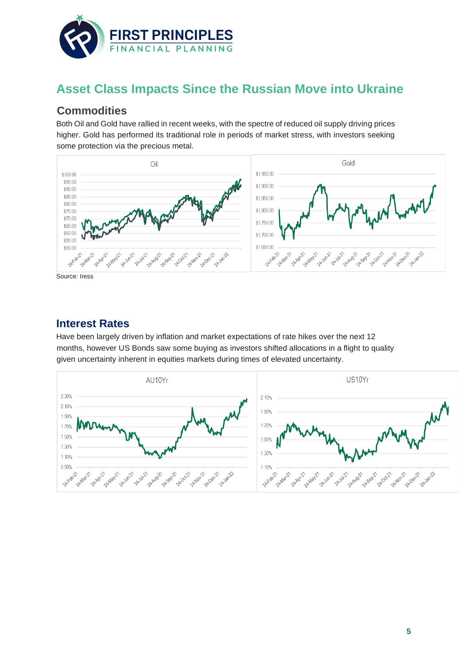

## **Asset Class Impacts Since the Russian Move into Ukraine**

#### **Commodities**

Both Oil and Gold have rallied in recent weeks, with the spectre of reduced oil supply driving prices higher. Gold has performed its traditional role in periods of market stress, with investors seeking some protection via the precious metal.



# **Interest Rates**

Have been largely driven by inflation and market expectations of rate hikes over the next 12 months, however US Bonds saw some buying as investors shifted allocations in a flight to quality given uncertainty inherent in equities markets during times of elevated uncertainty.

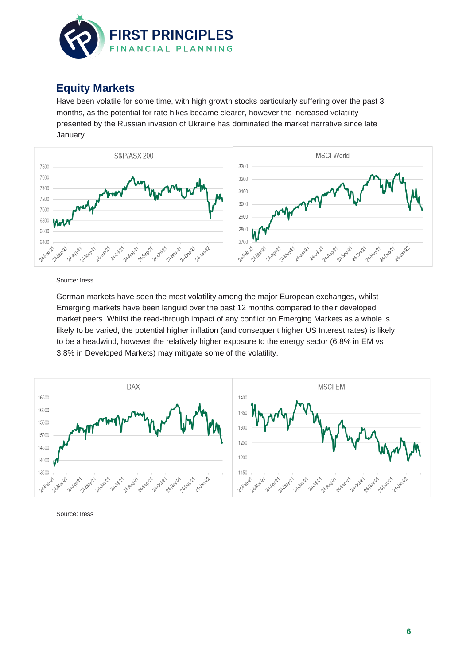

#### **Equity Markets**

Have been volatile for some time, with high growth stocks particularly suffering over the past 3 months, as the potential for rate hikes became clearer, however the increased volatility presented by the Russian invasion of Ukraine has dominated the market narrative since late January.



Source: Iress

German markets have seen the most volatility among the major European exchanges, whilst Emerging markets have been languid over the past 12 months compared to their developed market peers. Whilst the read-through impact of any conflict on Emerging Markets as a whole is likely to be varied, the potential higher inflation (and consequent higher US Interest rates) is likely to be a headwind, however the relatively higher exposure to the energy sector (6.8% in EM vs 3.8% in Developed Markets) may mitigate some of the volatility.



Source: Iress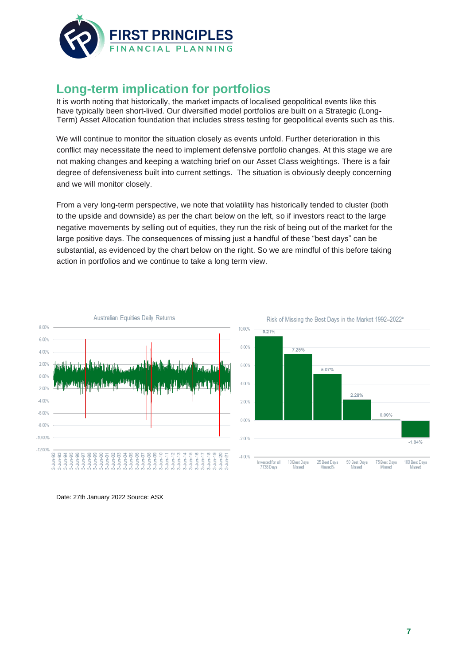

## **Long-term implication for portfolios**

It is worth noting that historically, the market impacts of localised geopolitical events like this have typically been short-lived. Our diversified model portfolios are built on a Strategic (Long-Term) Asset Allocation foundation that includes stress testing for geopolitical events such as this.

We will continue to monitor the situation closely as events unfold. Further deterioration in this conflict may necessitate the need to implement defensive portfolio changes. At this stage we are not making changes and keeping a watching brief on our Asset Class weightings. There is a fair degree of defensiveness built into current settings. The situation is obviously deeply concerning and we will monitor closely.

From a very long-term perspective, we note that volatility has historically tended to cluster (both to the upside and downside) as per the chart below on the left, so if investors react to the large negative movements by selling out of equities, they run the risk of being out of the market for the large positive days. The consequences of missing just a handful of these "best days" can be substantial, as evidenced by the chart below on the right. So we are mindful of this before taking action in portfolios and we continue to take a long term view.







Date: 27th January 2022 Source: ASX